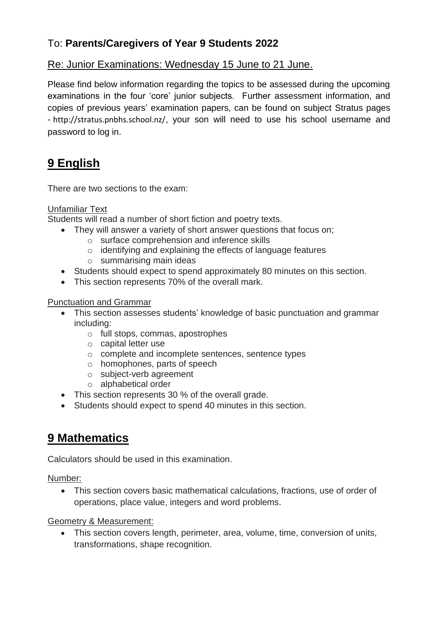### To: **Parents/Caregivers of Year 9 Students 2022**

### Re: Junior Examinations: Wednesday 15 June to 21 June.

Please find below information regarding the topics to be assessed during the upcoming examinations in the four 'core' junior subjects. Further assessment information, and copies of previous years' examination papers, can be found on subject Stratus pages - <http://stratus.pnbhs.school.nz/>, your son will need to use his school username and password to log in.

# **9 English**

There are two sections to the exam:

### Unfamiliar Text

Students will read a number of short fiction and poetry texts.

- They will answer a variety of short answer questions that focus on;
	- o surface comprehension and inference skills
	- o identifying and explaining the effects of language features
	- o summarising main ideas
- Students should expect to spend approximately 80 minutes on this section.
- This section represents 70% of the overall mark.

#### Punctuation and Grammar

- This section assesses students' knowledge of basic punctuation and grammar including:
	- o full stops, commas, apostrophes
	- o capital letter use
	- o complete and incomplete sentences, sentence types
	- o homophones, parts of speech
	- o subject-verb agreement
	- o alphabetical order
- This section represents 30 % of the overall grade.
- Students should expect to spend 40 minutes in this section.

### **9 Mathematics**

Calculators should be used in this examination.

Number:

• This section covers basic mathematical calculations, fractions, use of order of operations, place value, integers and word problems.

#### Geometry & Measurement:

• This section covers length, perimeter, area, volume, time, conversion of units, transformations, shape recognition.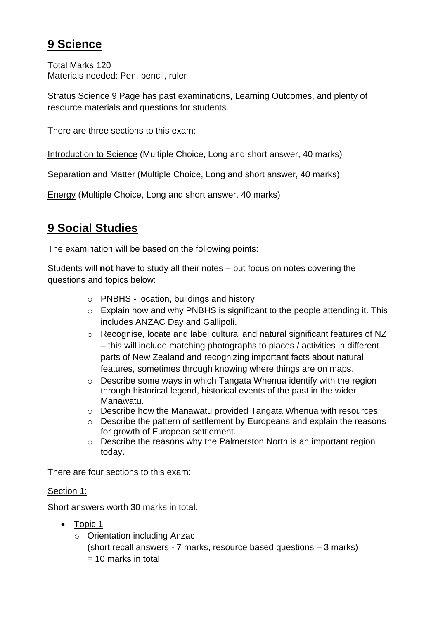## **9 Science**

Total Marks 120 Materials needed: Pen, pencil, ruler

Stratus Science 9 Page has past examinations, Learning Outcomes, and plenty of resource materials and questions for students.

There are three sections to this exam:

Introduction to Science (Multiple Choice, Long and short answer, 40 marks)

Separation and Matter (Multiple Choice, Long and short answer, 40 marks)

Energy (Multiple Choice, Long and short answer, 40 marks)

# **9 Social Studies**

The examination will be based on the following points:

Students will **not** have to study all their notes – but focus on notes covering the questions and topics below:

- o PNBHS location, buildings and history.
- $\circ$  Explain how and why PNBHS is significant to the people attending it. This includes ANZAC Day and Gallipoli.
- o Recognise, locate and label cultural and natural significant features of NZ – this will include matching photographs to places / activities in different parts of New Zealand and recognizing important facts about natural features, sometimes through knowing where things are on maps.
- o Describe some ways in which Tangata Whenua identify with the region through historical legend, historical events of the past in the wider Manawatu.
- o Describe how the Manawatu provided Tangata Whenua with resources.
- o Describe the pattern of settlement by Europeans and explain the reasons for growth of European settlement.
- o Describe the reasons why the Palmerston North is an important region today.

There are four sections to this exam:

### Section 1:

Short answers worth 30 marks in total.

- Topic 1
	- o Orientation including Anzac (short recall answers - 7 marks, resource based questions – 3 marks)  $= 10$  marks in total